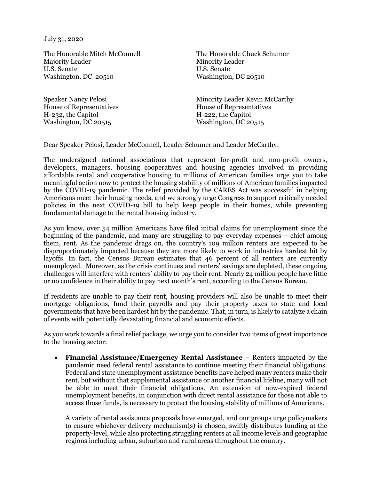July 31, 2020

The Honorable Mitch McConnell Majority Leader U.S. Senate Washington, DC 20510

House of Representatives House of Representatives H-232, the Capitol H-222, the Capitol Washington, DC 20515

The Honorable Chuck Schumer Minority Leader U.S. Senate Washington, DC 20510

Speaker Nancy Pelosi **Minority Leader Kevin McCarthy** 

Dear Speaker Pelosi, Leader McConnell, Leader Schumer and Leader McCarthy:

The undersigned national associations that represent for-profit and non-profit owners, developers, managers, housing cooperatives and housing agencies involved in providing affordable rental and cooperative housing to millions of American families urge you to take meaningful action now to protect the housing stability of millions of American families impacted by the COVID-19 pandemic. The relief provided by the CARES Act was successful in helping Americans meet their housing needs, and we strongly urge Congress to support critically needed policies in the next COVID-19 bill to help keep people in their homes, while preventing fundamental damage to the rental housing industry.

As you know, over 54 million Americans have filed initial claims for unemployment since the beginning of the pandemic, and many are struggling to pay everyday expenses – chief among them, rent. As the pandemic drags on, the country's 109 million renters are expected to be disproportionately impacted because they are more likely to work in industries hardest hit by layoffs. In fact, the Census Bureau estimates that 46 percent of all renters are currently unemployed. Moreover, as the crisis continues and renters' savings are depleted, these ongoing challenges will interfere with renters' ability to pay their rent: Nearly 24 million people have little or no confidence in their ability to pay next month's rent, according to the Census Bureau.

If residents are unable to pay their rent, housing providers will also be unable to meet their mortgage obligations, fund their payrolls and pay their property taxes to state and local governments that have been hardest hit by the pandemic. That, in turn, is likely to catalyze a chain of events with potentially devastating financial and economic effects.

As you work towards a final relief package, we urge you to consider two items of great importance to the housing sector:

• **Financial Assistance/Emergency Rental Assistance** – Renters impacted by the pandemic need federal rental assistance to continue meeting their financial obligations. Federal and state unemployment assistance benefits have helped many renters make their rent, but without that supplemental assistance or another financial lifeline, many will not be able to meet their financial obligations. An extension of now-expired federal unemployment benefits, in conjunction with direct rental assistance for those not able to access those funds, is necessary to protect the housing stability of millions of Americans.

A variety of rental assistance proposals have emerged, and our groups urge policymakers to ensure whichever delivery mechanism(s) is chosen, swiftly distributes funding at the property-level, while also protecting struggling renters at all income levels and geographic regions including urban, suburban and rural areas throughout the country.